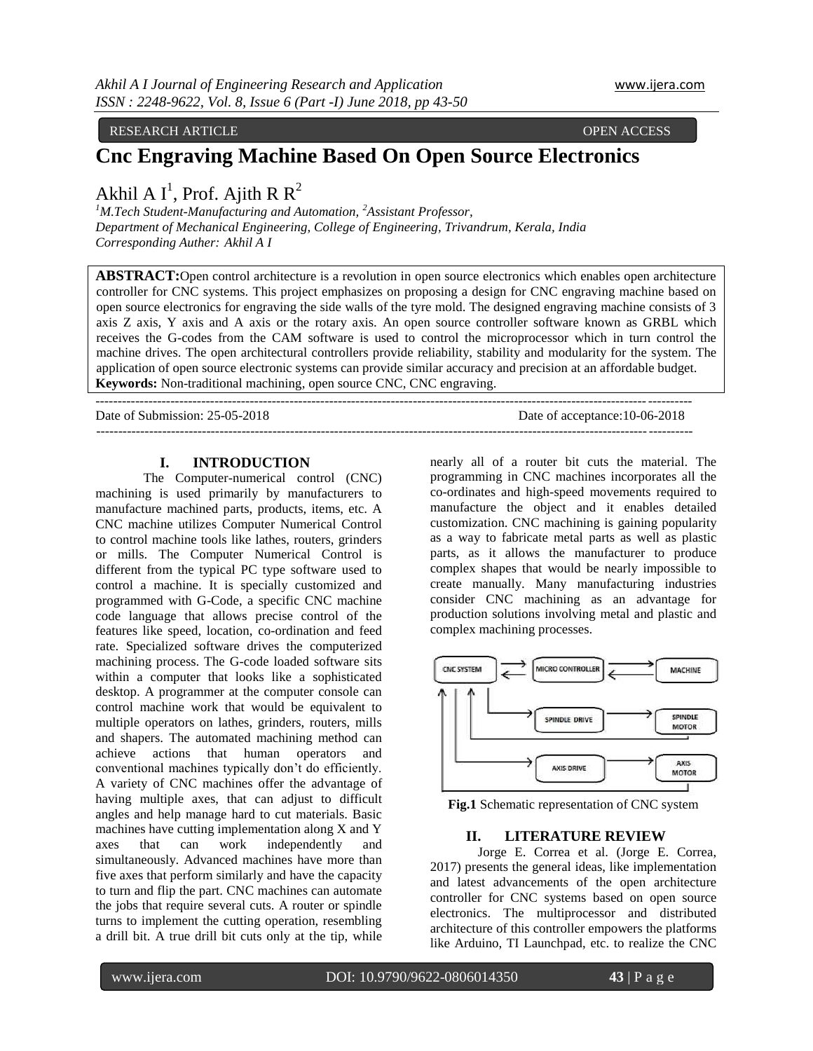RESEARCH ARTICLE **OPEN ACCESS** 

# **Cnc Engraving Machine Based On Open Source Electronics**

Akhil A I<sup>1</sup>, Prof. Ajith R R<sup>2</sup>

*<sup>1</sup>M.Tech Student-Manufacturing and Automation, <sup>2</sup>Assistant Professor, Department of Mechanical Engineering, College of Engineering, Trivandrum, Kerala, India Corresponding Auther: Akhil A I*

**ABSTRACT:**Open control architecture is a revolution in open source electronics which enables open architecture controller for CNC systems. This project emphasizes on proposing a design for CNC engraving machine based on open source electronics for engraving the side walls of the tyre mold. The designed engraving machine consists of 3 axis Z axis, Y axis and A axis or the rotary axis. An open source controller software known as GRBL which receives the G-codes from the CAM software is used to control the microprocessor which in turn control the machine drives. The open architectural controllers provide reliability, stability and modularity for the system. The application of open source electronic systems can provide similar accuracy and precision at an affordable budget. **Keywords:** Non-traditional machining, open source CNC, CNC engraving.

--------------------------------------------------------------------------------------------------------------------------------------- Date of Submission: 25-05-2018 Date of acceptance:10-06-2018 ---------------------------------------------------------------------------------------------------------------------------------------

### **I. INTRODUCTION**

The Computer-numerical control (CNC) machining is used primarily by manufacturers to manufacture machined parts, products, items, etc. A CNC machine utilizes Computer Numerical Control to control machine tools like lathes, routers, grinders or mills. The Computer Numerical Control is different from the typical PC type software used to control a machine. It is specially customized and programmed with G-Code, a specific CNC machine code language that allows precise control of the features like speed, location, co-ordination and feed rate. Specialized software drives the computerized machining process. The G-code loaded software sits within a computer that looks like a sophisticated desktop. A programmer at the computer console can control machine work that would be equivalent to multiple operators on lathes, grinders, routers, mills and shapers. The automated machining method can achieve actions that human operators and conventional machines typically don't do efficiently. A variety of CNC machines offer the advantage of having multiple axes, that can adjust to difficult angles and help manage hard to cut materials. Basic machines have cutting implementation along X and Y axes that can work independently and simultaneously. Advanced machines have more than five axes that perform similarly and have the capacity to turn and flip the part. CNC machines can automate the jobs that require several cuts. A router or spindle turns to implement the cutting operation, resembling a drill bit. A true drill bit cuts only at the tip, while

nearly all of a router bit cuts the material. The programming in CNC machines incorporates all the co-ordinates and high-speed movements required to manufacture the object and it enables detailed customization. CNC machining is gaining popularity as a way to fabricate metal parts as well as plastic parts, as it allows the manufacturer to produce complex shapes that would be nearly impossible to create manually. Many manufacturing industries consider CNC machining as an advantage for production solutions involving metal and plastic and complex machining processes.



**Fig.1** Schematic representation of CNC system

### **II. LITERATURE REVIEW**

Jorge E. Correa et al. (Jorge E. Correa, 2017) presents the general ideas, like implementation and latest advancements of the open architecture controller for CNC systems based on open source electronics. The multiprocessor and distributed architecture of this controller empowers the platforms like Arduino, TI Launchpad, etc. to realize the CNC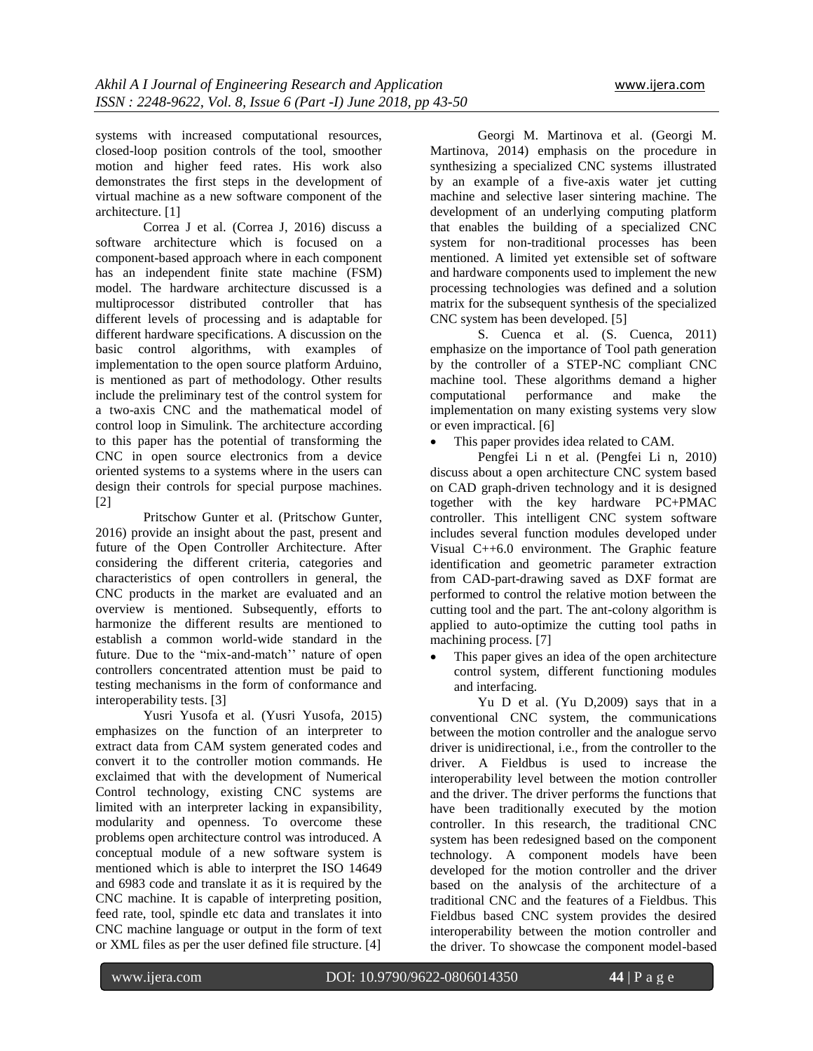systems with increased computational resources, closed-loop position controls of the tool, smoother motion and higher feed rates. His work also demonstrates the first steps in the development of virtual machine as a new software component of the architecture. [1]

Correa J et al. (Correa J, 2016) discuss a software architecture which is focused on a component-based approach where in each component has an independent finite state machine (FSM) model. The hardware architecture discussed is a multiprocessor distributed controller that has different levels of processing and is adaptable for different hardware specifications. A discussion on the basic control algorithms, with examples of implementation to the open source platform Arduino, is mentioned as part of methodology. Other results include the preliminary test of the control system for a two-axis CNC and the mathematical model of control loop in Simulink. The architecture according to this paper has the potential of transforming the CNC in open source electronics from a device oriented systems to a systems where in the users can design their controls for special purpose machines. [2]

Pritschow Gunter et al. (Pritschow Gunter, 2016) provide an insight about the past, present and future of the Open Controller Architecture. After considering the different criteria, categories and characteristics of open controllers in general, the CNC products in the market are evaluated and an overview is mentioned. Subsequently, efforts to harmonize the different results are mentioned to establish a common world-wide standard in the future. Due to the "mix-and-match" nature of open controllers concentrated attention must be paid to testing mechanisms in the form of conformance and interoperability tests. [3]

Yusri Yusofa et al. (Yusri Yusofa, 2015) emphasizes on the function of an interpreter to extract data from CAM system generated codes and convert it to the controller motion commands. He exclaimed that with the development of Numerical Control technology, existing CNC systems are limited with an interpreter lacking in expansibility, modularity and openness. To overcome these problems open architecture control was introduced. A conceptual module of a new software system is mentioned which is able to interpret the ISO 14649 and 6983 code and translate it as it is required by the CNC machine. It is capable of interpreting position, feed rate, tool, spindle etc data and translates it into CNC machine language or output in the form of text or XML files as per the user defined file structure. [4]

Georgi M. Martinova et al. (Georgi M. Martinova, 2014) emphasis on the procedure in synthesizing a specialized CNC systems illustrated by an example of a five-axis water jet cutting machine and selective laser sintering machine. The development of an underlying computing platform that enables the building of a specialized CNC system for non-traditional processes has been mentioned. A limited yet extensible set of software and hardware components used to implement the new processing technologies was defined and a solution matrix for the subsequent synthesis of the specialized CNC system has been developed. [5]

S. Cuenca et al. (S. Cuenca, 2011) emphasize on the importance of Tool path generation by the controller of a STEP-NC compliant CNC machine tool. These algorithms demand a higher computational performance and make the implementation on many existing systems very slow or even impractical. [6]

This paper provides idea related to CAM.

Pengfei Li n et al. (Pengfei Li n, 2010) discuss about a open architecture CNC system based on CAD graph-driven technology and it is designed together with the key hardware PC+PMAC controller. This intelligent CNC system software includes several function modules developed under Visual C++6.0 environment. The Graphic feature identification and geometric parameter extraction from CAD-part-drawing saved as DXF format are performed to control the relative motion between the cutting tool and the part. The ant-colony algorithm is applied to auto-optimize the cutting tool paths in machining process. [7]

 This paper gives an idea of the open architecture control system, different functioning modules and interfacing.

Yu D et al. (Yu D,2009) says that in a conventional CNC system, the communications between the motion controller and the analogue servo driver is unidirectional, i.e., from the controller to the driver. A Fieldbus is used to increase the interoperability level between the motion controller and the driver. The driver performs the functions that have been traditionally executed by the motion controller. In this research, the traditional CNC system has been redesigned based on the component technology. A component models have been developed for the motion controller and the driver based on the analysis of the architecture of a traditional CNC and the features of a Fieldbus. This Fieldbus based CNC system provides the desired interoperability between the motion controller and the driver. To showcase the component model-based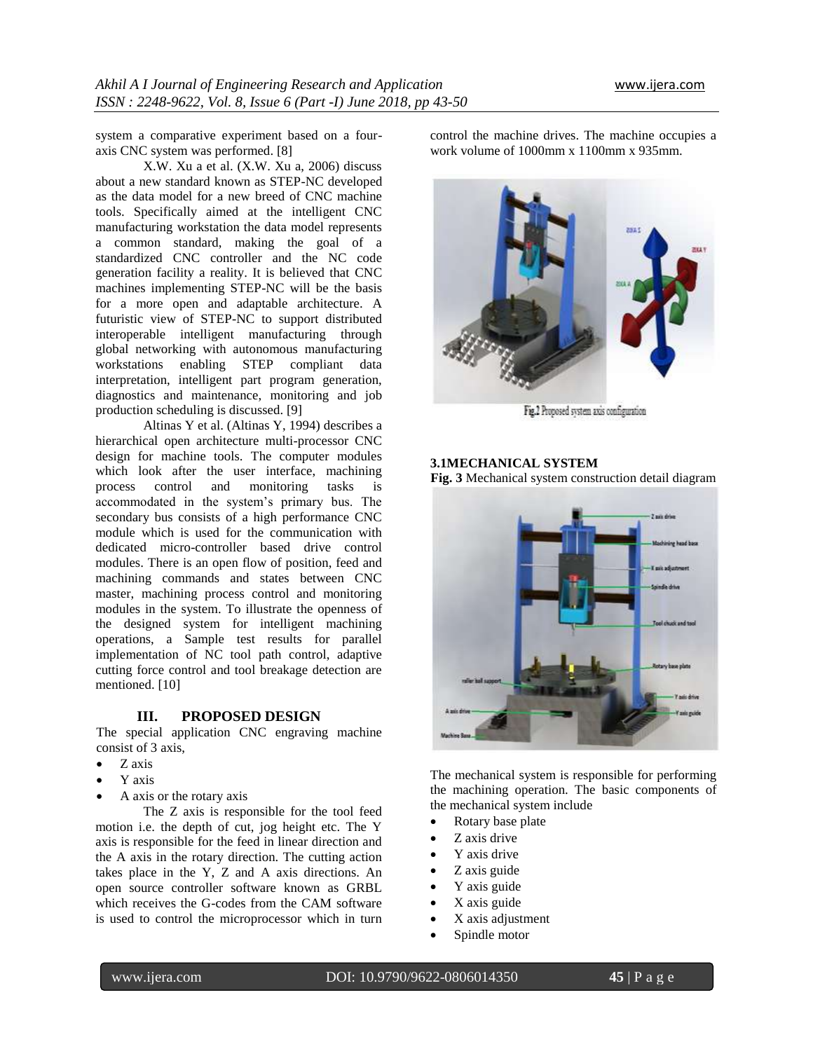system a comparative experiment based on a fouraxis CNC system was performed. [8]

X.W. Xu a et al. (X.W. Xu a, 2006) discuss about a new standard known as STEP-NC developed as the data model for a new breed of CNC machine tools. Specifically aimed at the intelligent CNC manufacturing workstation the data model represents a common standard, making the goal of a standardized CNC controller and the NC code generation facility a reality. It is believed that CNC machines implementing STEP-NC will be the basis for a more open and adaptable architecture. A futuristic view of STEP-NC to support distributed interoperable intelligent manufacturing through global networking with autonomous manufacturing workstations enabling STEP compliant data interpretation, intelligent part program generation, diagnostics and maintenance, monitoring and job production scheduling is discussed. [9]

Altinas Y et al. (Altinas Y, 1994) describes a hierarchical open architecture multi-processor CNC design for machine tools. The computer modules which look after the user interface, machining process control and monitoring tasks is accommodated in the system's primary bus. The secondary bus consists of a high performance CNC module which is used for the communication with dedicated micro-controller based drive control modules. There is an open flow of position, feed and machining commands and states between CNC master, machining process control and monitoring modules in the system. To illustrate the openness of the designed system for intelligent machining operations, a Sample test results for parallel implementation of NC tool path control, adaptive cutting force control and tool breakage detection are mentioned. [10]

# **III. PROPOSED DESIGN**

The special application CNC engraving machine consist of 3 axis,

- Z axis
- Y axis
- A axis or the rotary axis

The Z axis is responsible for the tool feed motion i.e. the depth of cut, jog height etc. The Y axis is responsible for the feed in linear direction and the A axis in the rotary direction. The cutting action takes place in the Y, Z and A axis directions. An open source controller software known as GRBL which receives the G-codes from the CAM software is used to control the microprocessor which in turn

control the machine drives. The machine occupies a work volume of 1000mm x 1100mm x 935mm.



Fig.2 Proposed system axis configuration

# **3.1MECHANICAL SYSTEM**

**Fig. 3** Mechanical system construction detail diagram



The mechanical system is responsible for performing the machining operation. The basic components of the mechanical system include

- Rotary base plate
- Z axis drive
- Y axis drive
- Z axis guide
- Y axis guide
- $\bullet$  X axis guide
- X axis adjustment
- 
- Spindle motor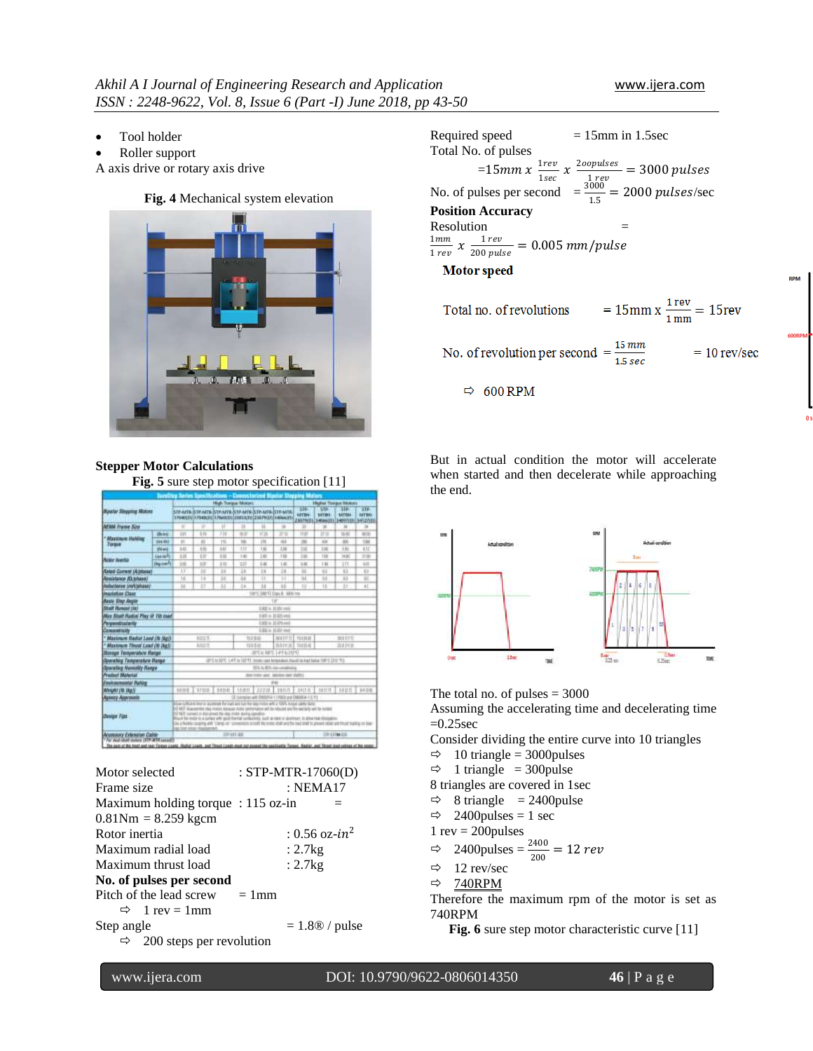**RPM** 

- Tool holder
- Roller support

A axis drive or rotary axis drive



#### Required speed  $= 15$ mm in 1.5sec Total No. of pulses  $=15$ mm x  $\frac{1rev}{1.200}$  $\frac{1rev}{1sec}$   $\chi \frac{2oopulses}{1 rev}$  $\frac{opuses}{1\,rev} = 3000\,pulses$ No. of pulses per second  $=\frac{3000}{15}$  $\frac{0.000}{1.5}$  = 2000 pulses/sec **Position Accuracy** Resolution  $=$  $1mm$  $\frac{1}{1} \frac{1}{rev}$   $\chi \frac{1}{200} \frac{rev}{pul}$  $\frac{1}{200 \text{ pulse}} = 0.005 \text{ mm/pulse}$ **Motor** speed  $= 15$ mm x  $\frac{1 \text{ rev}}{1 \text{ mm}} = 15$ rev Total no. of revolutions

No. of revolution per second  $=\frac{15 \, mm}{1.5 \, sec}$  $= 10$  rev/sec

But in actual condition the motor will accelerate when started and then decelerate while approaching the end.



The total no. of pulses  $= 3000$ 

 $\Rightarrow$  600 RPM

Assuming the accelerating time and decelerating time  $=0.25$ sec

Consider dividing the entire curve into 10 triangles

- $\Rightarrow$  10 triangle = 3000 pulses
- $\Rightarrow$  1 triangle = 300 pulse
- 8 triangles are covered in 1sec

 $\Rightarrow$  8 triangle = 2400 pulse

- $\Rightarrow$  2400 pulses = 1 sec
- $1 \text{ rev} = 200 \text{pulses}$

$$
\Rightarrow 2400 \text{pulses} = \frac{2400}{200} = 12 \text{ rev}
$$

- $\Rightarrow$  12 rev/sec
- $\Rightarrow$  740RPM

Therefore the maximum rpm of the motor is set as 740RPM

Fig. 6 sure step motor characteristic curve [11]

**Stepper Motor Calculations Fig. 5** sure step motor specification [11]

| <b>Bioatar Singuring Motors</b><br><b>M'MA France Sine</b>          |                 | High Toegue Motors<br><b><i><u>United States</u></i></b>                                                                                                                                                                                                                                                                                                                                                                                                                                                                                        |                |                 |            |                                                                                                         |                      | <b>Higher Tompor Bioban</b>                                                                                                                                                       |                                                                                     |                    |                                 |
|---------------------------------------------------------------------|-----------------|-------------------------------------------------------------------------------------------------------------------------------------------------------------------------------------------------------------------------------------------------------------------------------------------------------------------------------------------------------------------------------------------------------------------------------------------------------------------------------------------------------------------------------------------------|----------------|-----------------|------------|---------------------------------------------------------------------------------------------------------|----------------------|-----------------------------------------------------------------------------------------------------------------------------------------------------------------------------------|-------------------------------------------------------------------------------------|--------------------|---------------------------------|
|                                                                     |                 |                                                                                                                                                                                                                                                                                                                                                                                                                                                                                                                                                 |                |                 |            | STEATE STEATE STEATE STEATE STEATE STEATE STEATE<br>1704000 (17040000 17040000 20010000 2007000 1404000 |                      | <b>WW</b><br><b>ILETTIN</b><br>21079(0)                                                                                                                                           | œ<br><b>SITHE</b><br>140603114097001341Z/tE                                         | īπ<br><b>MITSH</b> | $\overline{319}$<br><b>MTBK</b> |
|                                                                     |                 | ÷                                                                                                                                                                                                                                                                                                                                                                                                                                                                                                                                               | Đ              | $\overline{11}$ | в          | Ħ                                                                                                       | u                    | ы                                                                                                                                                                                 | ×                                                                                   | u                  | м                               |
| <sup>2</sup> Afgelinger Hahling<br><b>Torque</b>                    | <b>Hickey</b>   | 133                                                                                                                                                                                                                                                                                                                                                                                                                                                                                                                                             | 1.10           | 138             | 88         | 开路                                                                                                      | Иs                   | TER                                                                                                                                                                               | 計算                                                                                  | 10 KG              | <b>BOX</b>                      |
|                                                                     | <b>DA4 841</b>  | ×                                                                                                                                                                                                                                                                                                                                                                                                                                                                                                                                               | $\overline{1}$ | TÉL             | <b>ISK</b> | <b>TH</b>                                                                                               | <b>WA</b>            | $\equiv$                                                                                                                                                                          | m                                                                                   | $^{10}$            | $^{12}$                         |
|                                                                     | <b>STAL</b> and | <b>b</b> At                                                                                                                                                                                                                                                                                                                                                                                                                                                                                                                                     | 14             | 188             | 110        | 116                                                                                                     | 138                  | m                                                                                                                                                                                 | 100                                                                                 | 144                | 41r                             |
| <b>Artist Junction</b>                                              | <b>Gasta</b> N  | 6.28                                                                                                                                                                                                                                                                                                                                                                                                                                                                                                                                            | EB             | 118             | 16         | 18                                                                                                      | 118                  | m                                                                                                                                                                                 | THE                                                                                 | <b>TATA</b>        | 214                             |
|                                                                     | <b>Dealer</b>   | in                                                                                                                                                                                                                                                                                                                                                                                                                                                                                                                                              | <b>HR</b>      | 111             | 127        | 14                                                                                                      | 140                  | 146                                                                                                                                                                               | 146                                                                                 | $\pm n$            | 4.07                            |
| <b>Rated Corrent (Abtisse)</b>                                      |                 | 11                                                                                                                                                                                                                                                                                                                                                                                                                                                                                                                                              | ш              | Ħ               | 11         | 18                                                                                                      | 18                   | ы                                                                                                                                                                                 | 43                                                                                  | m                  | $\mathbf{G}$                    |
| Resistance (O. MAARA)                                               |                 | Ħ                                                                                                                                                                                                                                                                                                                                                                                                                                                                                                                                               | ш              | н               | 38         | Ŧ                                                                                                       | п                    | $\overline{1}$                                                                                                                                                                    | ы                                                                                   | н                  | и                               |
| <b><i>Autochere Unitariates</i></b>                                 |                 | u                                                                                                                                                                                                                                                                                                                                                                                                                                                                                                                                               | ET             | и               | 1.8        | 38                                                                                                      | m                    | H                                                                                                                                                                                 | $\mathbf{H}$                                                                        | 11                 | $\pm 1$                         |
| <b>Instaliar Class</b>                                              |                 | 1970 DRIVER State B. Williams                                                                                                                                                                                                                                                                                                                                                                                                                                                                                                                   |                |                 |            |                                                                                                         |                      |                                                                                                                                                                                   |                                                                                     |                    |                                 |
| <b>Basic Ship Angle</b>                                             |                 |                                                                                                                                                                                                                                                                                                                                                                                                                                                                                                                                                 |                |                 |            |                                                                                                         |                      |                                                                                                                                                                                   |                                                                                     |                    |                                 |
| <b>Staff Aurora (34)</b>                                            |                 | <b>URE &amp; MAN met</b>                                                                                                                                                                                                                                                                                                                                                                                                                                                                                                                        |                |                 |            |                                                                                                         |                      |                                                                                                                                                                                   |                                                                                     |                    |                                 |
| May Stud Radio Play @ 10 Inad                                       |                 |                                                                                                                                                                                                                                                                                                                                                                                                                                                                                                                                                 |                |                 |            |                                                                                                         | <b>CAT A SERVANO</b> |                                                                                                                                                                                   |                                                                                     |                    |                                 |
| <b>Pargrams</b> caracter                                            |                 |                                                                                                                                                                                                                                                                                                                                                                                                                                                                                                                                                 |                |                 |            |                                                                                                         | <b>USH EPAM</b>      |                                                                                                                                                                                   |                                                                                     |                    |                                 |
| Convention                                                          |                 |                                                                                                                                                                                                                                                                                                                                                                                                                                                                                                                                                 |                |                 |            | 18K = 100 Hz                                                                                            |                      |                                                                                                                                                                                   |                                                                                     |                    |                                 |
| " Alaximum Redat Lead (N (Ap))                                      |                 | NILT                                                                                                                                                                                                                                                                                                                                                                                                                                                                                                                                            |                |                 |            | TERRI                                                                                                   | <b>MUTOTIC HARM</b>  |                                                                                                                                                                                   |                                                                                     | 991177             |                                 |
| " Maximum Though Load (10 Daily                                     |                 | ANXY<br>Atres hene<br>113.9.0<br>当まれま                                                                                                                                                                                                                                                                                                                                                                                                                                                                                                           |                |                 |            |                                                                                                         |                      |                                                                                                                                                                                   |                                                                                     |                    |                                 |
| <b>Slorage Temperature thange</b>                                   |                 | STEERT LEFELTED                                                                                                                                                                                                                                                                                                                                                                                                                                                                                                                                 |                |                 |            |                                                                                                         |                      |                                                                                                                                                                                   |                                                                                     |                    |                                 |
| <b>Boosting Temperature Harge</b>                                   |                 |                                                                                                                                                                                                                                                                                                                                                                                                                                                                                                                                                 |                |                 |            |                                                                                                         |                      |                                                                                                                                                                                   | IPT to SPC 1415 to SPT, investigate beneficial disaddition and hange 150 S. 2232 TO |                    |                                 |
| <b>Sparating Nuvenility Range</b>                                   |                 | MA to \$50, the constitutes                                                                                                                                                                                                                                                                                                                                                                                                                                                                                                                     |                |                 |            |                                                                                                         |                      |                                                                                                                                                                                   |                                                                                     |                    |                                 |
| <b>Predisci Material</b>                                            |                 | mos insion upon teatrolea caser playfies                                                                                                                                                                                                                                                                                                                                                                                                                                                                                                        |                |                 |            |                                                                                                         |                      |                                                                                                                                                                                   |                                                                                     |                    |                                 |
| <b>Favirnments/ Pulsy</b>                                           |                 |                                                                                                                                                                                                                                                                                                                                                                                                                                                                                                                                                 |                |                 |            |                                                                                                         | 9Hz                  |                                                                                                                                                                                   |                                                                                     |                    |                                 |
| <b>Weight (10 Hz/)</b>                                              |                 | 3807.14422.3<br>1110E<br>seno<br>38817<br><b>MILE</b><br>34.140<br>1418.8<br><b>MARTE</b><br><b>COURSE</b>                                                                                                                                                                                                                                                                                                                                                                                                                                      |                |                 |            |                                                                                                         |                      |                                                                                                                                                                                   |                                                                                     |                    |                                 |
| <b>Agency Assyssion</b>                                             |                 |                                                                                                                                                                                                                                                                                                                                                                                                                                                                                                                                                 |                |                 |            | CE to engine with DWIDNA 1 (1992) and DWOSCA-1 (1993)                                                   |                      |                                                                                                                                                                                   |                                                                                     |                    |                                 |
| <b>Benge Flat</b>                                                   |                 | And URLES from pursuin to builded for the assistant with a USA loan sales time<br>TO ME illustrate and that a state service contemporary and his reluced to the worlds will be served<br>10 M/C served in discussed the exp mule during condition<br>Board for motivity a surfact with quint formal conductions, but has one or sketchast, in allow hier dimension<br>Ally a Noddle: couping with "Librig vis" conventions in cold the mone shall and the medicinal to present colds were front trading on blue<br>aid from entire requirements |                |                 |            |                                                                                                         |                      |                                                                                                                                                                                   |                                                                                     |                    |                                 |
| <b>Annuary Edension Cable</b><br>The deal shall move (TTP ATT case) |                 | 221411-010                                                                                                                                                                                                                                                                                                                                                                                                                                                                                                                                      |                |                 |            |                                                                                                         |                      | <b>DRIVINGS</b><br>The Audi of the limit and load Tairpin Coast, Reflet Least, And Theat Coast, and Aut Jenned The contrastly Target, Replac, and Threet And reflers of the enemy |                                                                                     |                    |                                 |

| Motor selected                       | : STP-MTR-17060(D)     |
|--------------------------------------|------------------------|
| Frame size                           | : <b>NEMA17</b>        |
| Maximum holding torque : $115$ oz-in |                        |
| $0.81Nm = 8.259$ kgcm                |                        |
| Rotor inertia                        | : 0.56 oz- $in^2$      |
| Maximum radial load                  | : $2.7kg$              |
| Maximum thrust load                  | : 2.7kg                |
| No. of pulses per second             |                        |
| Pitch of the lead screw<br>$= 1$ mm  |                        |
| $\Rightarrow$ 1 rev = 1 mm           |                        |
| Step angle                           | $= 1.8 \times /$ pulse |
| 200 steps per revolution<br>⇨        |                        |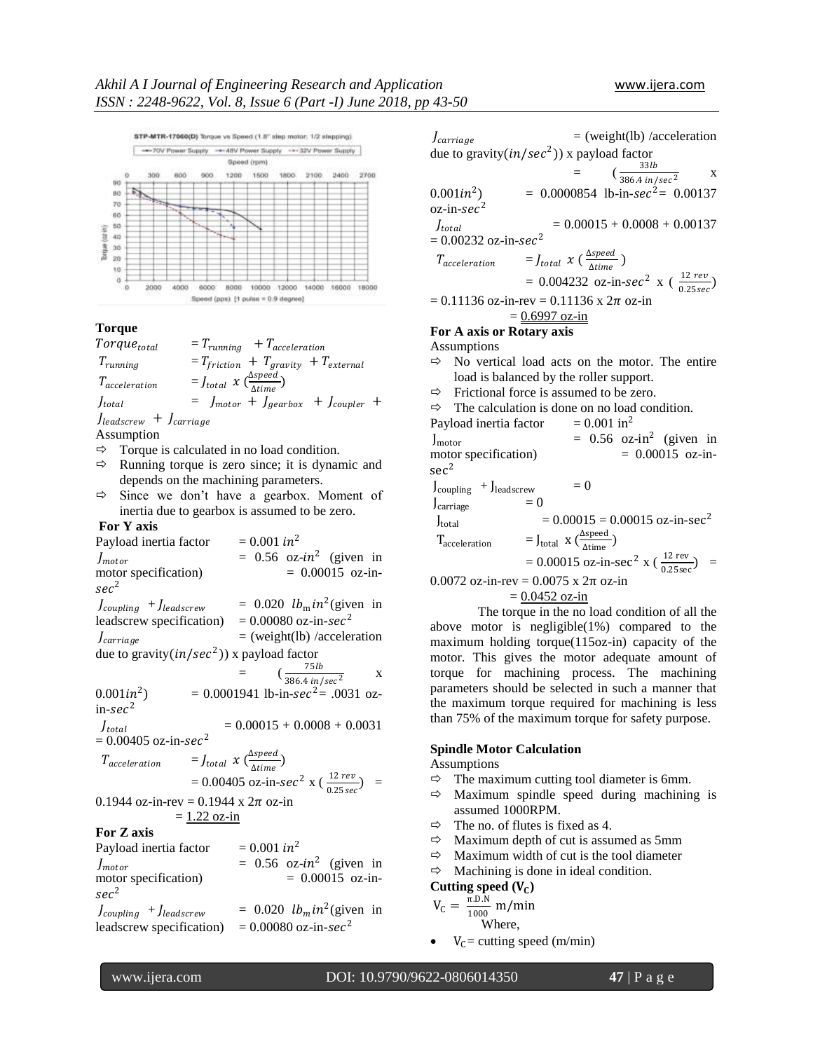

# **Torque**

 $Torque_{total} = T_{running} + T_{acceleration}$  $T_{running}$  =  $T_{friction}$  +  $T_{gravity}$  +  $T_{external}$  $T_{acceleration}$  =  $J_{total}$   $\chi$  ( $\frac{\Delta speed}{Atime}$  $\frac{\Delta_{\text{M}}}{\Delta_{\text{L}}}})$  $J_{total}$  =  $J_{motor} + J_{gearbox} + J_{coupler} +$  $J_{\text{leadscrew}} + J_{\text{carriage}}$ 

Assumption

- $\Rightarrow$  Torque is calculated in no load condition.
- $\Rightarrow$  Running torque is zero since; it is dynamic and depends on the machining parameters.
- $\Rightarrow$  Since we don't have a gearbox. Moment of inertia due to gearbox is assumed to be zero.

#### **For Y axis**

Payload inertia factor  $= 0.001$  in<sup>2</sup>  $J_{motor}$  = 0.56 oz- $in^2$  (given in motor specification)  $= 0.00015$  oz-in $sec<sup>2</sup>$  $J_{coupling}$  +  $J_{leads crew}$  $2$ (given in leadscrew specification)  $= 0.00080$  oz-in-sec<sup>2</sup>  $J_{carriage}$  = (weight(lb) /acceleration due to gravity $(in/sec^2))$  x payload factor  $=$   $(\frac{75 lb}{386.4 ln/sec^2})$ x  $0.001$ in<sup>2</sup>  $= 0.0001941$  lb-in-sec<sup>2</sup>= .0031 oz- $_{\rm in\text{-}sec\text{-}2}$  $J_{total}$  $= 0.00015 + 0.0008 + 0.0031$  $= 0.00405 \text{ oz-in-}sec^2$  $T_{acceleration}$  =  $J_{total}$   $\chi$   $\left(\frac{\Delta speed}{Atime}\right)$ <u>∆speeu</u>)<br>∆time  $= 0.00405 \text{ oz-in-}sec^2 x \left(\frac{12 \text{ rev}}{0.25 \text{ sec}}\right)$  = 0.1944 oz-in-rev = 0.1944 x  $2\pi$  oz-in  $= 1.22$  oz-in **For Z axis** Payload inertia factor  $= 0.001 \text{ in}^2$  $J_{motor}$  = 0.56 oz- $in^2$  (given in motor specification)  $= 0.00015$  oz-in $sec<sup>2</sup>$  $J_{coupling}$  +  $J_{leads crew}$  $2$ (given in leadscrew specification) =  $0.00080$  oz-in-sec<sup>2</sup>

 $J_{carriage}$  = (weight(lb) /acceleration due to gravity $(in/sec^2))$  x payload factor  $=$   $(\frac{33lb}{386.4 \text{ in/sec}^2})$ x

 $0.001$ in<sup>2</sup>  $= 0.0000854$  lb-in-sec<sup>2</sup>= 0.00137  $o$ z-in-s $ec^2$ J<sub>total</sub>  $= 0.00015 + 0.0008 + 0.00137$  $= 0.00232 \text{ oz-in-}sec^2$  $T_{acceleration}$  =  $J_{total}$   $\chi$  ( $\frac{\Delta speed}{Atime}$  $\frac{\Delta$ Speeu )  $= 0.004232 \text{ oz-in-}sec^2 x \left( \frac{12 \text{ rev}}{0.25 \text{ sec}} \right)$  $= 0.11136$  oz-in-rev = 0.11136 x  $2\pi$  oz-in  $= 0.6997$  oz-in

#### **For A axis or Rotary axis**

Assumptions

- $\Rightarrow$  No vertical load acts on the motor. The entire load is balanced by the roller support.
- $\Rightarrow$  Frictional force is assumed to be zero.

 $\Rightarrow$  The calculation is done on no load condition. Payload inertia factor  $= 0.001$  in<sup>2</sup>  $J_{\text{motor}}$  = 0.56 oz-in<sup>2</sup> (given in motor specification)  $= 0.00015$  oz-insec<sup>2</sup>  $J_{\text{coupling}}$  +  $J_{\text{leadscrew}}$  = 0  $J_{\text{carriage}}$  = 0  $J_{\text{total}}$  = 0.00015 = 0.00015 oz-in-sec<sup>2</sup>  $T_{\text{acceleration}} = J_{\text{total}} \times (\frac{\Delta \text{speed}}{\Delta \text{time}})$  $\frac{\Delta \text{time}}{\Delta \text{time}}$  $= 0.00015 \text{ oz-in-sec}^2 \text{ x } (\frac{12 \text{ rev}}{0.25 \text{ sec}}) =$ 

0.0072 oz-in-rev = 0.0075 x 2π oz-in

 $= 0.0452$  oz-in

The torque in the no load condition of all the above motor is negligible(1%) compared to the maximum holding torque(115oz-in) capacity of the motor. This gives the motor adequate amount of torque for machining process. The machining parameters should be selected in such a manner that the maximum torque required for machining is less than 75% of the maximum torque for safety purpose.

#### **Spindle Motor Calculation**

Assumptions

- $\Rightarrow$  The maximum cutting tool diameter is 6mm.
- $\Rightarrow$  Maximum spindle speed during machining is assumed 1000RPM.
- $\Rightarrow$  The no. of flutes is fixed as 4.
- $\Rightarrow$  Maximum depth of cut is assumed as 5mm
- $\Rightarrow$  Maximum width of cut is the tool diameter
- $\Rightarrow$  Machining is done in ideal condition.

**Cutting speed ()**

$$
V_C = \frac{\pi.D.N}{1000} m/min
$$
  
Where,

 $V_c$ = cutting speed (m/min)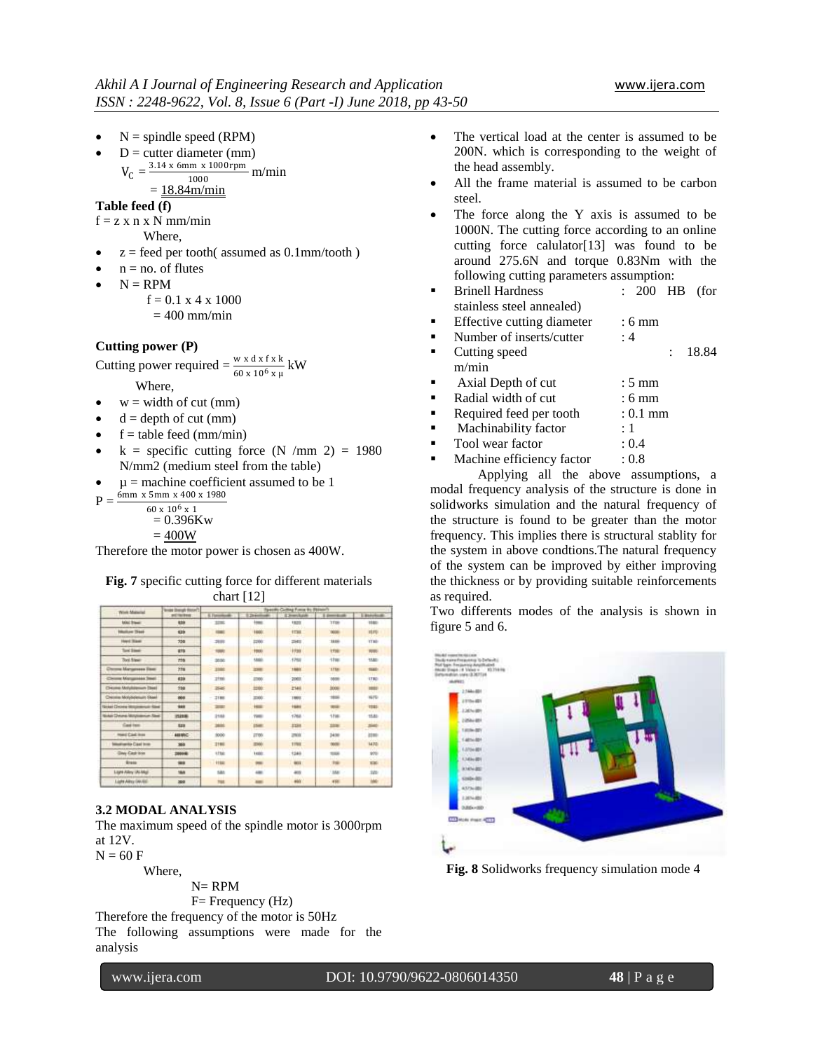$\bullet$  N = spindle speed (RPM)

• 
$$
D =
$$
 cutter diameter (mm)

$$
= \frac{3.14 \times 6 \text{mm} \times 1000 \text{rpm}}{1000} \text{ m/min}
$$

$$
= \frac{18.84 \text{m/min}}{1000}
$$

$$
=\underline{18.84m/m}
$$

**Table feed (f)**

 $V_C$ 

 $f = z \times n \times N$  mm/min

Where,

- $z =$  feed per tooth( assumed as  $0.1$ mm/tooth)
- $n = no$ . of flutes
- $N = RPM$

 $f = 0.1$  x 4 x 1000

 $= 400$  mm/min

#### **Cutting power (P)**

Cutting power required =  $\frac{w \times d \times f \times k}{60 \times 10^6 \times \mu}$  kW

Where,

- $w = \text{width of cut (mm)}$
- $d =$  depth of cut (mm)
- $f =$  table feed (mm/min)
- $k =$  specific cutting force (N /mm 2) = 1980 N/mm2 (medium steel from the table)
- $\mu$  = machine coefficient assumed to be 1

 $P = \frac{6 \text{mm} \times 5 \text{mm} \times 400 \times 1980}{P}$  $60 \times 10^6 \times 1$ 

 $= 0.396Kw$ 

$$
=400W
$$

Therefore the motor power is chosen as 400W.

**Fig. 7** specific cutting force for different materials  $c \times 122$ 

|                                          | <b>Scope (bangly Bonart)</b> | Specific Culting Force By Bldgorth |                |             |              |                            |  |  |  |
|------------------------------------------|------------------------------|------------------------------------|----------------|-------------|--------------|----------------------------|--|--|--|
| Wink Material                            | <b><i>BICTROBIA</i></b>      | 6. Forestown                       | <b>E</b> Diego | - Elimobale | Limited:     | L. Barcelouds              |  |  |  |
| MACRAW:                                  | 538                          | 2206                               | 1000           | 1823        | <b>TTIM</b>  | 1580                       |  |  |  |
| <b>Higher Trees</b>                      | <b>KBS</b>                   | <b>EDMO</b>                        | 1800           | <b>FEM</b>  | <b>MARK</b>  | <b>HFG</b>                 |  |  |  |
| <b>Hard Blast</b>                        | 730                          | 2001                               | 2200           | 2541        | 38.00        | <b>TTMP</b>                |  |  |  |
| Toyot School                             | 416                          | 1000                               | Hotel          | 1936        | <b>i</b> Fye | <b>FOR</b>                 |  |  |  |
| Tool filmer                              | nte                          | 30.00                              | 1,840          | 1768        | $-11$ into   | 1580                       |  |  |  |
| <b>Mangessea Tiess</b>                   | 228                          | 3180                               | 2398           | 1981        | 17tm         | <b>SALE</b>                |  |  |  |
| or Management Trend<br>$\sim$            | 639                          | 2110                               | 27450          | 2003        | <b>Mai</b>   | <b>ITRO</b>                |  |  |  |
| <b>Cheuma Molylolanum (Sea)</b>          | 530                          | 25-a5                              | 1200           | 2340        | 3006         | <b>TEST</b><br><b>POTT</b> |  |  |  |
| Chessian Molybolenum Stead               | 800                          | 2188                               | 2000           | 1981        | <b>Hotel</b> | NIFE                       |  |  |  |
| <b>Scient Discope Mosqueauxus: Steel</b> | 944                          | <b>SHEE</b>                        | <b>Hotel</b>   | 1684        | -            | <b>TEST</b>                |  |  |  |
| <b>Suke Dyses Mitchense Sad</b>          | masses                       | 31mb                               | TWO:           | 1768        | 1Fas         | 1581                       |  |  |  |
| Cast tem                                 | 523                          | <b>SAME</b>                        | 25ml           | 2288        | 2231         | $\frac{1}{2}$              |  |  |  |
| <b>HALL CALINA</b>                       | <b>ASSINC</b>                | 8000                               | 2700           | zna         | 3430         | 21mi                       |  |  |  |
| <b>International Case Incer</b>          | 389                          | 3196                               | <b>FMA</b>     | 1794        | w            | <b>M70</b>                 |  |  |  |
| Day Cash Iron                            | 2000年                        | the                                | 1480C          | 1248        | TOM          | 970                        |  |  |  |
| <b>Brass</b>                             | <b>SER</b>                   | 1110                               | $-$            | <b>MAX</b>  | <b>THE</b>   | <b>KM</b>                  |  |  |  |
| Light Alley (ALMa)                       | 164                          | <b>S&amp;A</b>                     | 440            | 405         | MA           | 50                         |  |  |  |
| Light Allrey (AVA)                       | 300                          | tut                                |                | <b>AM</b>   | 498          |                            |  |  |  |

#### **3.2 MODAL ANALYSIS**

The maximum speed of the spindle motor is 3000rpm at 12V.

 $N = 60 F$ 

Where,

 $N=$  RPM  $F=$  Frequency  $(Hz)$ 

Therefore the frequency of the motor is 50Hz The following assumptions were made for the analysis

- The vertical load at the center is assumed to be 200N. which is corresponding to the weight of the head assembly.
- All the frame material is assumed to be carbon steel.
- The force along the Y axis is assumed to be 1000N. The cutting force according to an online cutting force calulator[13] was found to be around 275.6N and torque 0.83Nm with the following cutting parameters assumption:
- Brinell Hardness : 200 HB (for stainless steel annealed)
- Effective cutting diameter : 6 mm
- Number of inserts/cutter : 4
- Cutting speed : 18.84 m/min
- Axial Depth of cut : 5 mm Radial width of cut : 6 mm
- Required feed per tooth : 0.1 mm
- Machinability factor : 1
- Tool wear factor : 0.4
- Machine efficiency factor : 0.8

Applying all the above assumptions, a modal frequency analysis of the structure is done in solidworks simulation and the natural frequency of the structure is found to be greater than the motor frequency. This implies there is structural stablity for the system in above condtions.The natural frequency of the system can be improved by either improving the thickness or by providing suitable reinforcements as required.

Two differents modes of the analysis is shown in figure 5 and 6.



**Fig. 8** Solidworks frequency simulation mode 4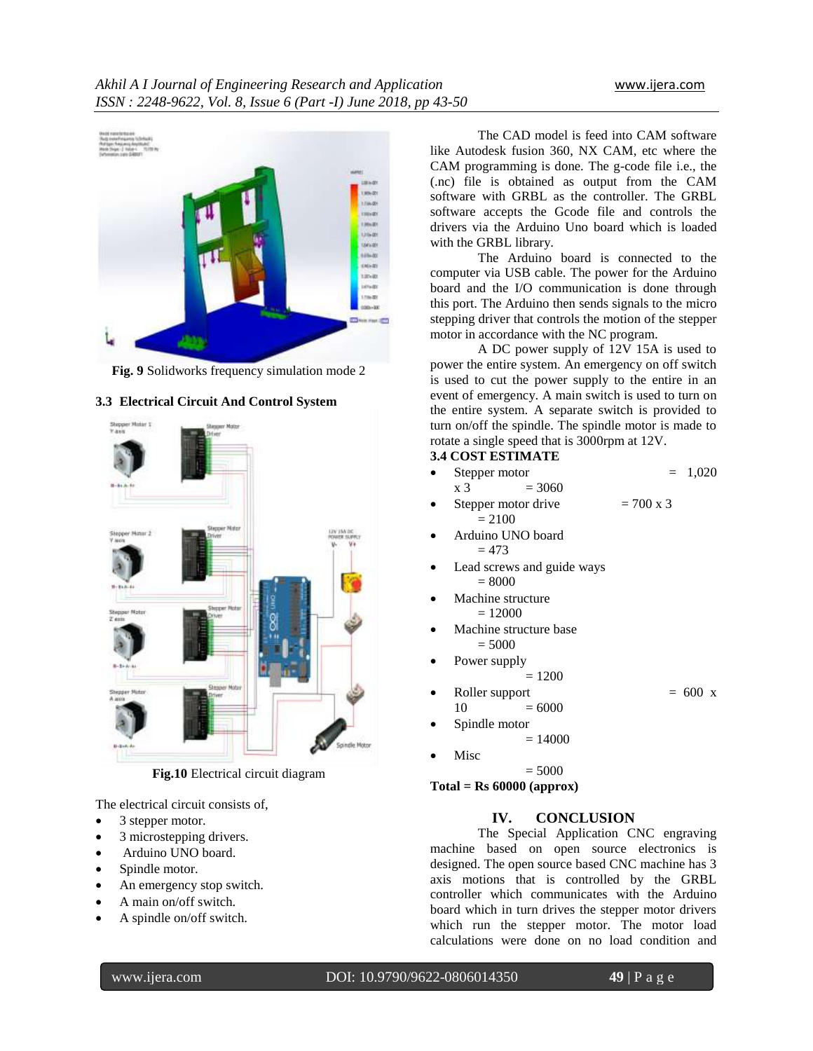

**Fig. 9** Solidworks frequency simulation mode 2



#### **3.3 Electrical Circuit And Control System**

**Fig.10** Electrical circuit diagram

The electrical circuit consists of,

- 3 stepper motor.
- 3 microstepping drivers.
- Arduino UNO board.
- Spindle motor.
- An emergency stop switch.
- A main on/off switch.
- A spindle on/off switch.

The CAD model is feed into CAM software like Autodesk fusion 360, NX CAM, etc where the CAM programming is done. The g-code file i.e., the (.nc) file is obtained as output from the CAM software with GRBL as the controller. The GRBL software accepts the Gcode file and controls the drivers via the Arduino Uno board which is loaded with the GRBL library.

The Arduino board is connected to the computer via USB cable. The power for the Arduino board and the I/O communication is done through this port. The Arduino then sends signals to the micro stepping driver that controls the motion of the stepper motor in accordance with the NC program.

A DC power supply of 12V 15A is used to power the entire system. An emergency on off switch is used to cut the power supply to the entire in an event of emergency. A main switch is used to turn on the entire system. A separate switch is provided to turn on/off the spindle. The spindle motor is made to rotate a single speed that is 3000rpm at 12V.

# **3.4 COST ESTIMATE**

- Stepper motor  $= 1,020$  $x 3 = 3060$
- Stepper motor drive  $= 700 \times 3$  $= 2100$
- Arduino UNO board  $= 473$
- Lead screws and guide ways  $= 8000$
- Machine structure
	- $= 12000$
- Machine structure base  $= 5000$
- Power supply  $= 1200$
- Roller support  $= 600 x$  $10 = 6000$

 Spindle motor  $= 14000$ 

Misc

 $= 5000$ 

**Total = Rs 60000 (approx)**

# **IV. CONCLUSION**

The Special Application CNC engraving machine based on open source electronics is designed. The open source based CNC machine has 3 axis motions that is controlled by the GRBL controller which communicates with the Arduino board which in turn drives the stepper motor drivers which run the stepper motor. The motor load calculations were done on no load condition and

www.ijera.com DOI: 10.9790/9622-0806014350 **49** | P a g e